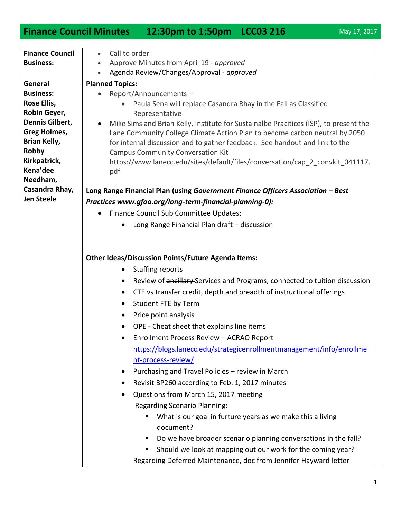## **Finance Council Minutes 12:30pm to 1:50pm LCC03 216** May 17, 2017

| Call to order<br>$\bullet$                                                                                                                                                                                                                                                                                                                                                                                                                                                                                                                                                                                                                                                                                                                                                                                                                                                                                                                                                                                                |
|---------------------------------------------------------------------------------------------------------------------------------------------------------------------------------------------------------------------------------------------------------------------------------------------------------------------------------------------------------------------------------------------------------------------------------------------------------------------------------------------------------------------------------------------------------------------------------------------------------------------------------------------------------------------------------------------------------------------------------------------------------------------------------------------------------------------------------------------------------------------------------------------------------------------------------------------------------------------------------------------------------------------------|
| Approve Minutes from April 19 - approved<br>$\bullet$                                                                                                                                                                                                                                                                                                                                                                                                                                                                                                                                                                                                                                                                                                                                                                                                                                                                                                                                                                     |
| Agenda Review/Changes/Approval - approved<br>$\bullet$                                                                                                                                                                                                                                                                                                                                                                                                                                                                                                                                                                                                                                                                                                                                                                                                                                                                                                                                                                    |
| <b>Planned Topics:</b>                                                                                                                                                                                                                                                                                                                                                                                                                                                                                                                                                                                                                                                                                                                                                                                                                                                                                                                                                                                                    |
| Report/Announcements-<br>$\bullet$                                                                                                                                                                                                                                                                                                                                                                                                                                                                                                                                                                                                                                                                                                                                                                                                                                                                                                                                                                                        |
| Paula Sena will replace Casandra Rhay in the Fall as Classified<br>$\bullet$                                                                                                                                                                                                                                                                                                                                                                                                                                                                                                                                                                                                                                                                                                                                                                                                                                                                                                                                              |
| Representative                                                                                                                                                                                                                                                                                                                                                                                                                                                                                                                                                                                                                                                                                                                                                                                                                                                                                                                                                                                                            |
| Mike Sims and Brian Kelly, Institute for Sustainalbe Pracitices (ISP), to present the<br>$\bullet$                                                                                                                                                                                                                                                                                                                                                                                                                                                                                                                                                                                                                                                                                                                                                                                                                                                                                                                        |
| Lane Community College Climate Action Plan to become carbon neutral by 2050                                                                                                                                                                                                                                                                                                                                                                                                                                                                                                                                                                                                                                                                                                                                                                                                                                                                                                                                               |
| for internal discussion and to gather feedback. See handout and link to the                                                                                                                                                                                                                                                                                                                                                                                                                                                                                                                                                                                                                                                                                                                                                                                                                                                                                                                                               |
| <b>Campus Community Conversation Kit</b>                                                                                                                                                                                                                                                                                                                                                                                                                                                                                                                                                                                                                                                                                                                                                                                                                                                                                                                                                                                  |
| https://www.lanecc.edu/sites/default/files/conversation/cap_2_convkit_041117.<br>pdf                                                                                                                                                                                                                                                                                                                                                                                                                                                                                                                                                                                                                                                                                                                                                                                                                                                                                                                                      |
|                                                                                                                                                                                                                                                                                                                                                                                                                                                                                                                                                                                                                                                                                                                                                                                                                                                                                                                                                                                                                           |
| Long Range Financial Plan (using Government Finance Officers Association - Best                                                                                                                                                                                                                                                                                                                                                                                                                                                                                                                                                                                                                                                                                                                                                                                                                                                                                                                                           |
| Practices www.gfoa.org/long-term-financial-planning-0):                                                                                                                                                                                                                                                                                                                                                                                                                                                                                                                                                                                                                                                                                                                                                                                                                                                                                                                                                                   |
| Finance Council Sub Committee Updates:<br>$\bullet$                                                                                                                                                                                                                                                                                                                                                                                                                                                                                                                                                                                                                                                                                                                                                                                                                                                                                                                                                                       |
| Long Range Financial Plan draft - discussion                                                                                                                                                                                                                                                                                                                                                                                                                                                                                                                                                                                                                                                                                                                                                                                                                                                                                                                                                                              |
|                                                                                                                                                                                                                                                                                                                                                                                                                                                                                                                                                                                                                                                                                                                                                                                                                                                                                                                                                                                                                           |
| <b>Other Ideas/Discussion Points/Future Agenda Items:</b><br><b>Staffing reports</b><br>$\bullet$<br>Review of ancillary-Services and Programs, connected to tuition discussion<br>$\bullet$<br>CTE vs transfer credit, depth and breadth of instructional offerings<br>$\bullet$<br>Student FTE by Term<br>$\bullet$<br>Price point analysis<br>$\bullet$<br>OPE - Cheat sheet that explains line items<br>$\bullet$<br>Enrollment Process Review - ACRAO Report<br>https://blogs.lanecc.edu/strategicenrollmentmanagement/info/enrollme<br>nt-process-review/<br>Purchasing and Travel Policies - review in March<br>$\bullet$<br>Revisit BP260 according to Feb. 1, 2017 minutes<br>$\bullet$<br>Questions from March 15, 2017 meeting<br>$\bullet$<br><b>Regarding Scenario Planning:</b><br>What is our goal in furture years as we make this a living<br>п<br>document?<br>Do we have broader scenario planning conversations in the fall?<br>п<br>Should we look at mapping out our work for the coming year?<br>ш |
|                                                                                                                                                                                                                                                                                                                                                                                                                                                                                                                                                                                                                                                                                                                                                                                                                                                                                                                                                                                                                           |